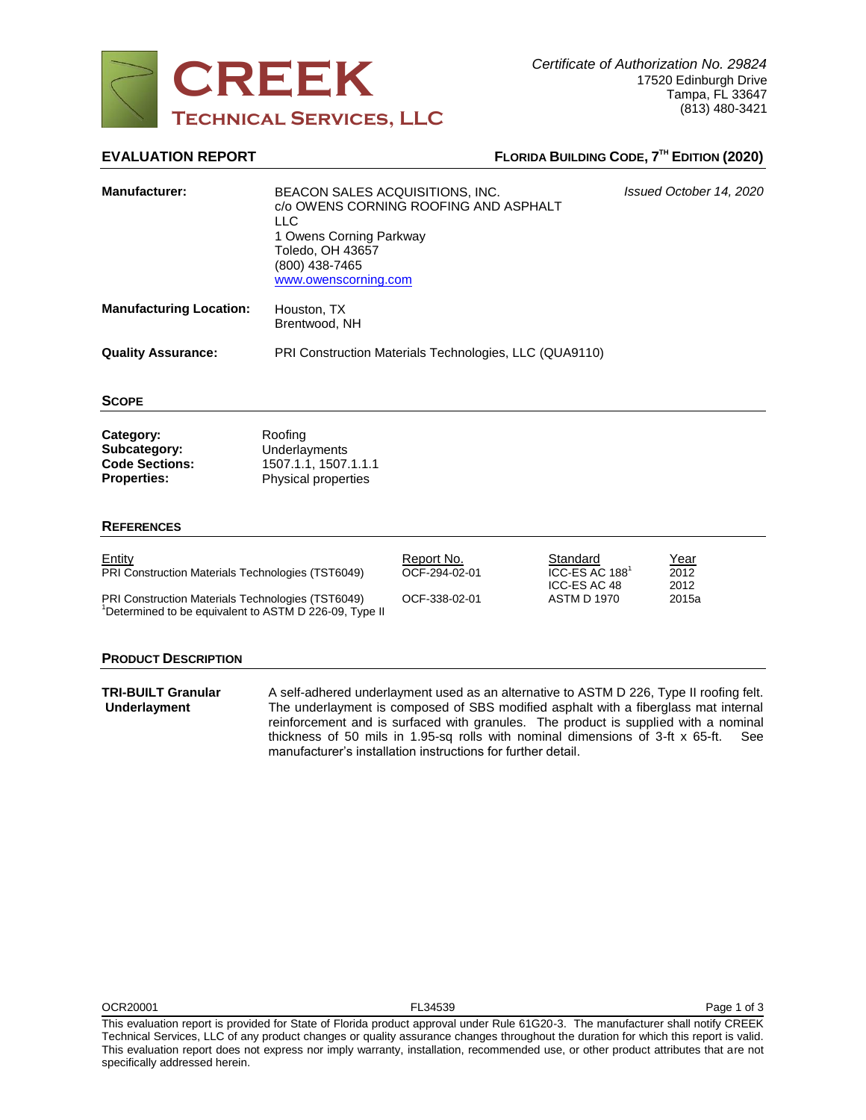

# **EVALUATION REPORT FLORIDA BUILDING CODE,**  $7^{\text{th}}$  **EDITION (2020)**

| <b>Manufacturer:</b>                                                     | <b>LLC</b><br>1 Owens Corning Parkway<br>Toledo, OH 43657<br>(800) 438-7465<br>www.owenscorning.com | BEACON SALES ACQUISITIONS, INC.<br>c/o OWENS CORNING ROOFING AND ASPHALT |                                                        | Issued October 14, 2020     |
|--------------------------------------------------------------------------|-----------------------------------------------------------------------------------------------------|--------------------------------------------------------------------------|--------------------------------------------------------|-----------------------------|
| <b>Manufacturing Location:</b>                                           | Houston, TX<br>Brentwood, NH                                                                        |                                                                          |                                                        |                             |
| <b>Quality Assurance:</b>                                                | PRI Construction Materials Technologies, LLC (QUA9110)                                              |                                                                          |                                                        |                             |
| <b>SCOPE</b>                                                             |                                                                                                     |                                                                          |                                                        |                             |
| Category:<br>Subcategory:<br><b>Code Sections:</b><br><b>Properties:</b> | Roofing<br>Underlayments<br>1507.1.1, 1507.1.1.1<br>Physical properties                             |                                                                          |                                                        |                             |
| <b>REFERENCES</b>                                                        |                                                                                                     |                                                                          |                                                        |                             |
| Entity<br>PRI Construction Materials Technologies (TST6049)              |                                                                                                     | Report No.<br>OCF-294-02-01                                              | Standard<br>ICC-ES AC 188 <sup>1</sup><br>ICC-ES AC 48 | <u>Year</u><br>2012<br>2012 |
| PRI Construction Materials Technologies (TST6049)                        |                                                                                                     | OCF-338-02-01                                                            | <b>ASTM D 1970</b>                                     | 2015a                       |

<sup>1</sup>Determined to be equivalent to ASTM D 226-09, Type II

## **PRODUCT DESCRIPTION**

**TRI-BUILT Granular Underlayment** A self-adhered underlayment used as an alternative to ASTM D 226, Type II roofing felt. The underlayment is composed of SBS modified asphalt with a fiberglass mat internal reinforcement and is surfaced with granules. The product is supplied with a nominal thickness of 50 mils in 1.95-sq rolls with nominal dimensions of 3-ft x 65-ft. See manufacturer's installation instructions for further detail.

This evaluation report is provided for State of Florida product approval under Rule 61G20-3. The manufacturer shall notify CREEK Technical Services, LLC of any product changes or quality assurance changes throughout the duration for which this report is valid. This evaluation report does not express nor imply warranty, installation, recommended use, or other product attributes that are not specifically addressed herein.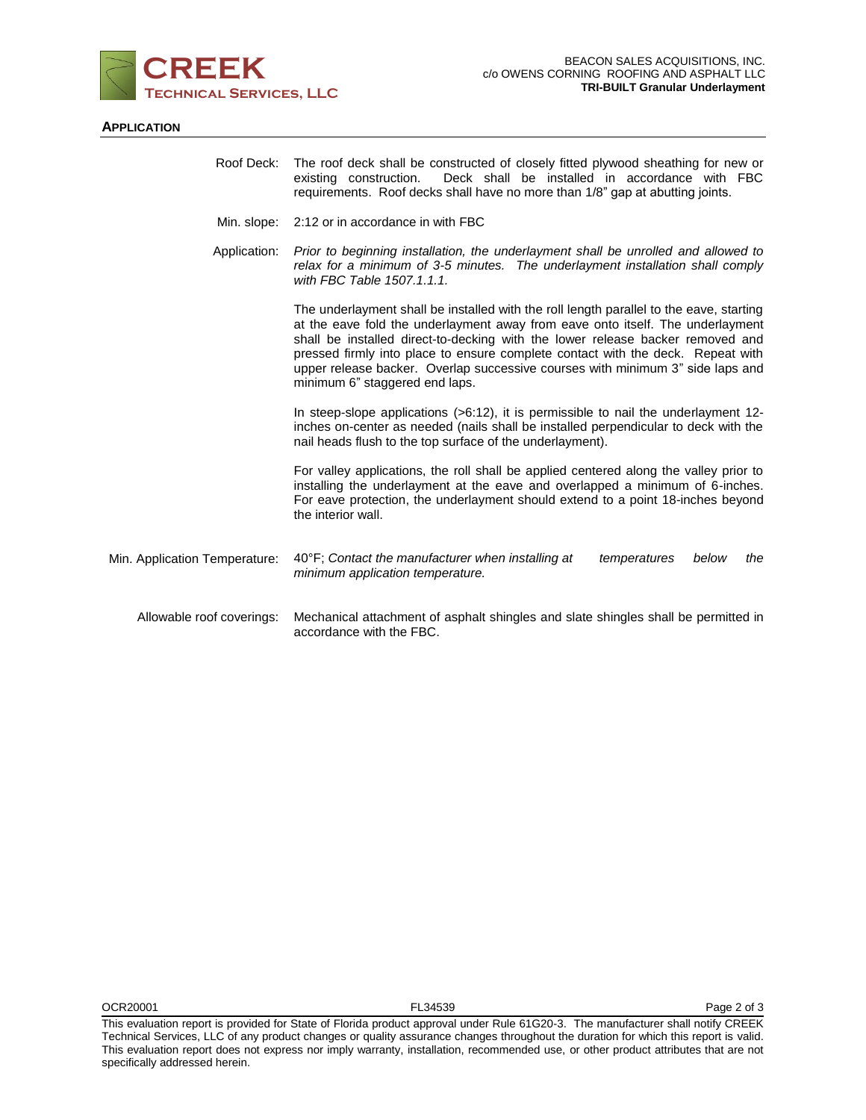

## **APPLICATION**

|                               | Roof Deck: The roof deck shall be constructed of closely fitted plywood sheathing for new or<br>Deck shall be installed in accordance with FBC<br>existing construction.<br>requirements. Roof decks shall have no more than 1/8" gap at abutting joints.                                                                                                                                                                                                          |  |  |
|-------------------------------|--------------------------------------------------------------------------------------------------------------------------------------------------------------------------------------------------------------------------------------------------------------------------------------------------------------------------------------------------------------------------------------------------------------------------------------------------------------------|--|--|
|                               | Min. slope: 2:12 or in accordance in with FBC                                                                                                                                                                                                                                                                                                                                                                                                                      |  |  |
| Application:                  | Prior to beginning installation, the underlayment shall be unrolled and allowed to<br>relax for a minimum of 3-5 minutes. The underlayment installation shall comply<br>with FBC Table 1507.1.1.1.                                                                                                                                                                                                                                                                 |  |  |
|                               | The underlayment shall be installed with the roll length parallel to the eave, starting<br>at the eave fold the underlayment away from eave onto itself. The underlayment<br>shall be installed direct-to-decking with the lower release backer removed and<br>pressed firmly into place to ensure complete contact with the deck. Repeat with<br>upper release backer. Overlap successive courses with minimum 3" side laps and<br>minimum 6" staggered end laps. |  |  |
|                               | In steep-slope applications (>6:12), it is permissible to nail the underlayment 12-<br>inches on-center as needed (nails shall be installed perpendicular to deck with the<br>nail heads flush to the top surface of the underlayment).                                                                                                                                                                                                                            |  |  |
|                               | For valley applications, the roll shall be applied centered along the valley prior to<br>installing the underlayment at the eave and overlapped a minimum of 6-inches.<br>For eave protection, the underlayment should extend to a point 18-inches beyond<br>the interior wall.                                                                                                                                                                                    |  |  |
| Min. Application Temperature: | 40°F; Contact the manufacturer when installing at<br>temperatures<br>below<br>the<br>minimum application temperature.                                                                                                                                                                                                                                                                                                                                              |  |  |
| Allowable roof coverings:     | Mechanical attachment of asphalt shingles and slate shingles shall be permitted in<br>accordance with the FBC.                                                                                                                                                                                                                                                                                                                                                     |  |  |

This evaluation report is provided for State of Florida product approval under Rule 61G20-3. The manufacturer shall notify CREEK Technical Services, LLC of any product changes or quality assurance changes throughout the duration for which this report is valid. This evaluation report does not express nor imply warranty, installation, recommended use, or other product attributes that are not specifically addressed herein.